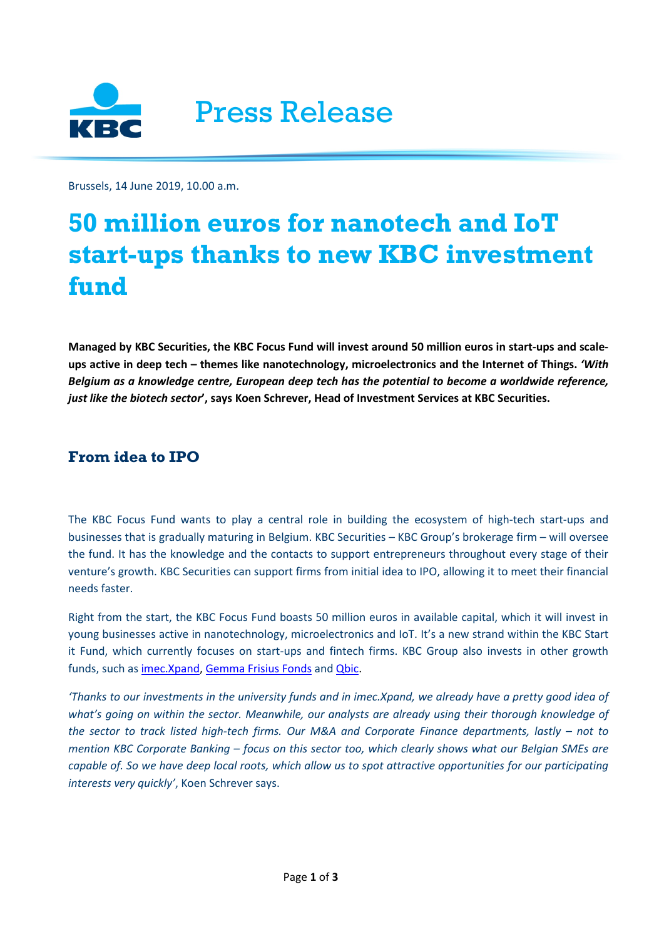

Brussels, 14 June 2019, 10.00 a.m.

# **50 million euros for nanotech and IoT start-ups thanks to new KBC investment fund**

**Managed by KBC Securities, the KBC Focus Fund will invest around 50 million euros in start-ups and scaleups active in deep tech – themes like nanotechnology, microelectronics and the Internet of Things.** *'With Belgium as a knowledge centre, European deep tech has the potential to become a worldwide reference, just like the biotech sector***', says Koen Schrever, Head of Investment Services at KBC Securities.** 

# **From idea to IPO**

The KBC Focus Fund wants to play a central role in building the ecosystem of high-tech start-ups and businesses that is gradually maturing in Belgium. KBC Securities – KBC Group's brokerage firm – will oversee the fund. It has the knowledge and the contacts to support entrepreneurs throughout every stage of their venture's growth. KBC Securities can support firms from initial idea to IPO, allowing it to meet their financial needs faster.

Right from the start, the KBC Focus Fund boasts 50 million euros in available capital, which it will invest in young businesses active in nanotechnology, microelectronics and IoT. It's a new strand within the KBC Start it Fund, which currently focuses on start-ups and fintech firms. KBC Group also invests in other growth funds, such as [imec.Xpand,](https://imecxpand.com/) [Gemma Frisius Fonds](https://lrd.kuleuven.be/spinoff/gemma-frisius-fonds) and [Qbic.](http://qbic.be/)

*'Thanks to our investments in the university funds and in imec.Xpand, we already have a pretty good idea of what's going on within the sector. Meanwhile, our analysts are already using their thorough knowledge of the sector to track listed high-tech firms. Our M&A and Corporate Finance departments, lastly – not to mention KBC Corporate Banking – focus on this sector too, which clearly shows what our Belgian SMEs are*  capable of. So we have deep local roots, which allow us to spot attractive opportunities for our participating *interests very quickly'*, Koen Schrever says.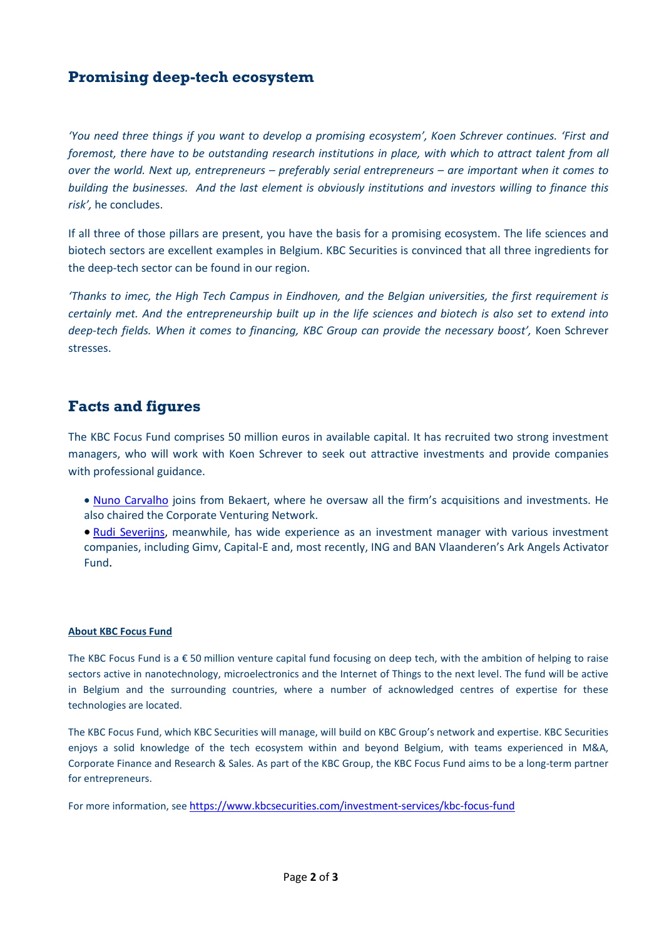# **Promising deep-tech ecosystem**

*'You need three things if you want to develop a promising ecosystem', Koen Schrever continues. 'First and foremost, there have to be outstanding research institutions in place, with which to attract talent from all over the world. Next up, entrepreneurs – preferably serial entrepreneurs – are important when it comes to building the businesses. And the last element is obviously institutions and investors willing to finance this risk',* he concludes.

If all three of those pillars are present, you have the basis for a promising ecosystem. The life sciences and biotech sectors are excellent examples in Belgium. KBC Securities is convinced that all three ingredients for the deep-tech sector can be found in our region.

*'Thanks to imec, the High Tech Campus in Eindhoven, and the Belgian universities, the first requirement is certainly met. And the entrepreneurship built up in the life sciences and biotech is also set to extend into deep-tech fields. When it comes to financing, KBC Group can provide the necessary boost',* Koen Schrever stresses.

### **Facts and figures**

The KBC Focus Fund comprises 50 million euros in available capital. It has recruited two strong investment managers, who will work with Koen Schrever to seek out attractive investments and provide companies with professional guidance.

• [Nuno Carvalho](https://www.linkedin.com/in/carvalhonuno) joins from Bekaert, where he oversaw all the firm's acquisitions and investments. He also chaired the Corporate Venturing Network.

• [Rudi Severijns,](https://www.linkedin.com/in/rudiseverijns) meanwhile, has wide experience as an investment manager with various investment companies, including Gimv, Capital-E and, most recently, ING and BAN Vlaanderen's Ark Angels Activator Fund.

#### **About KBC Focus Fund**

The KBC Focus Fund is a € 50 million venture capital fund focusing on deep tech, with the ambition of helping to raise sectors active in nanotechnology, microelectronics and the Internet of Things to the next level. The fund will be active in Belgium and the surrounding countries, where a number of acknowledged centres of expertise for these technologies are located.

The KBC Focus Fund, which KBC Securities will manage, will build on KBC Group's network and expertise. KBC Securities enjoys a solid knowledge of the tech ecosystem within and beyond Belgium, with teams experienced in M&A, Corporate Finance and Research & Sales. As part of the KBC Group, the KBC Focus Fund aims to be a long-term partner for entrepreneurs.

For more information, see <https://www.kbcsecurities.com/investment-services/kbc-focus-fund>